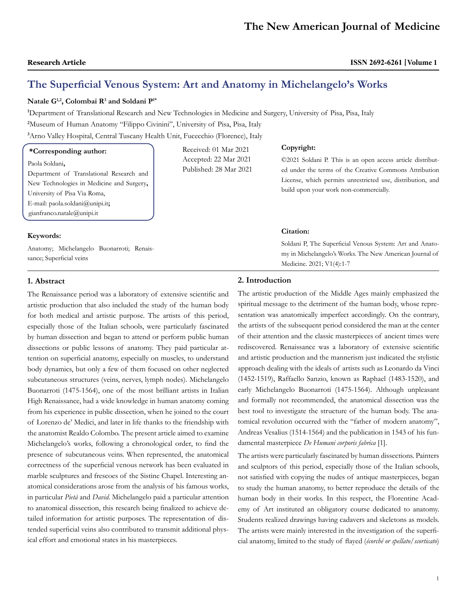# **The Superficial Venous System: Art and Anatomy in Michelangelo's Works**

Received: 01 Mar 2021 Accepted: 22 Mar 2021 Published: 28 Mar 2021

# **Natale G1,2, Colombai R3 and Soldani P1\***

**1** Department of Translational Research and New Technologies in Medicine and Surgery, University of Pisa, Pisa, Italy

**2** Museum of Human Anatomy "Filippo Civinini", University of Pisa, Pisa, Italy **3** Arno Valley Hospital, Central Tuscany Health Unit, Fucecchio (Florence), Italy

# **\*Corresponding author:**

Paola Soldani**,**  Department of Translational Research and New Technologies in Medicine and Surgery**,**  University of Pisa Via Roma, E-mail: paola.soldani@unipi.it**;**  gianfranco.natale@unipi.it

## **Keywords:**

Anatomy; Michelangelo Buonarroti; Renaissance; Superficial veins

# **Copyright:**

©2021 Soldani P. This is an open access article distributed under the terms of the Creative Commons Attribution License, which permits unrestricted use, distribution, and build upon your work non-commercially.

## **Citation:**

Soldani P, The Superficial Venous System: Art and Anatomy in Michelangelo's Works. The New American Journal of Medicine. 2021; V1(4):1-7

# **1. Abstract**

The Renaissance period was a laboratory of extensive scientific and artistic production that also included the study of the human body for both medical and artistic purpose. The artists of this period, especially those of the Italian schools, were particularly fascinated by human dissection and began to attend or perform public human dissections or public lessons of anatomy. They paid particular attention on superficial anatomy, especially on muscles, to understand body dynamics, but only a few of them focused on other neglected subcutaneous structures (veins, nerves, lymph nodes). Michelangelo Buonarroti (1475-1564), one of the most brilliant artists in Italian High Renaissance, had a wide knowledge in human anatomy coming from his experience in public dissection, when he joined to the court of Lorenzo de' Medici, and later in life thanks to the friendship with the anatomist Realdo Colombo. The present article aimed to examine Michelangelo's works, following a chronological order, to find the presence of subcutaneous veins. When represented, the anatomical correctness of the superficial venous network has been evaluated in marble sculptures and frescoes of the Sistine Chapel. Interesting anatomical considerations arose from the analysis of his famous works, in particular *Pietà* and *David*. Michelangelo paid a particular attention to anatomical dissection, this research being finalized to achieve detailed information for artistic purposes. The representation of distended superficial veins also contributed to transmit additional physical effort and emotional states in his masterpieces.

# **2. Introduction**

The artistic production of the Middle Ages mainly emphasized the spiritual message to the detriment of the human body, whose representation was anatomically imperfect accordingly. On the contrary, the artists of the subsequent period considered the man at the center of their attention and the classic masterpieces of ancient times were rediscovered. Renaissance was a laboratory of extensive scientific and artistic production and the mannerism just indicated the stylistic approach dealing with the ideals of artists such as Leonardo da Vinci (1452-1519), Raffaello Sanzio, known as Raphael (1483-1520), and early Michelangelo Buonarroti (1475-1564). Although unpleasant and formally not recommended, the anatomical dissection was the best tool to investigate the structure of the human body. The anatomical revolution occurred with the "father of modern anatomy", Andreas Vesalius (1514-1564) and the publication in 1543 of his fundamental masterpiece *De Humani corporis fabrica* [1].

The artists were particularly fascinated by human dissections. Painters and sculptors of this period, especially those of the Italian schools, not satisfied with copying the nudes of antique masterpieces, began to study the human anatomy, to better reproduce the details of the human body in their works. In this respect, the Florentine Academy of Art instituted an obligatory course dedicated to anatomy. Students realized drawings having cadavers and skeletons as models. The artists were mainly interested in the investigation of the superficial anatomy, limited to the study of flayed (*écorché or spellato/scorticato*)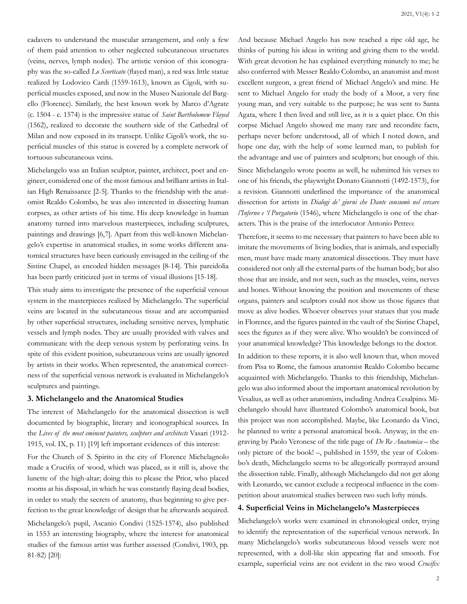cadavers to understand the muscular arrangement, and only a few of them paid attention to other neglected subcutaneous structures (veins, nerves, lymph nodes). The artistic version of this iconography was the so-called *Lo Scorticato* (flayed man), a red wax little statue realized by Lodovico Cardi (1559-1613), known as Cigoli, with superficial muscles exposed, and now in the Museo Nazionale del Bargello (Florence). Similarly, the best known work by Marco d'Agrate (c. 1504 - c. 1574) is the impressive statue of *Saint Bartholomew Flayed*  (1562), realized to decorate the southern side of the Cathedral of Milan and now exposed in its transept. Unlike Cigoli's work, the superficial muscles of this statue is covered by a complete network of tortuous subcutaneous veins.

Michelangelo was an Italian sculptor, painter, architect, poet and engineer, considered one of the most famous and brilliant artists in Italian High Renaissance [2-5]. Thanks to the friendship with the anatomist Realdo Colombo, he was also interested in dissecting human corpses, as other artists of his time. His deep knowledge in human anatomy turned into marvelous masterpieces, including sculptures, paintings and drawings [6,7]. Apart from this well-known Michelangelo's expertise in anatomical studies, in some works different anatomical structures have been curiously envisaged in the ceiling of the Sistine Chapel, as encoded hidden messages [8-14]. This pareidolia has been partly criticized just in terms of visual illusions [15-18].

This study aims to investigate the presence of the superficial venous system in the masterpieces realized by Michelangelo. The superficial veins are located in the subcutaneous tissue and are accompanied by other superficial structures, including sensitive nerves, lymphatic vessels and lymph nodes. They are usually provided with valves and communicate with the deep venous system by perforating veins. In spite of this evident position, subcutaneous veins are usually ignored by artists in their works. When represented, the anatomical correctness of the superficial venous network is evaluated in Michelangelo's sculptures and paintings.

#### **3. Michelangelo and the Anatomical Studies**

The interest of Michelangelo for the anatomical dissection is well documented by biographic, literary and iconographical sources. In the *Lives of the most eminent painters, sculptors and architects* Vasari (1912- 1915, vol. IX, p. 11) [19] left important evidences of this interest:

For the Church of S. Spirito in the city of Florence Michelagnolo made a Crucifix of wood, which was placed, as it still is, above the lunette of the high-altar; doing this to please the Prior, who placed rooms at his disposal, in which he was constantly flaying dead bodies, in order to study the secrets of anatomy, thus beginning to give perfection to the great knowledge of design that he afterwards acquired. Michelangelo's pupil, Ascanio Condivi (1525-1574), also published

in 1553 an interesting biography, where the interest for anatomical studies of the famous artist was further assessed (Condivi, 1903, pp. 81-82) [20]:

And because Michael Angelo has now reached a ripe old age, he thinks of putting his ideas in writing and giving them to the world. With great devotion he has explained everything minutely to me; he also conferred with Messer Realdo Colombo, an anatomist and most excellent surgeon, a great friend of Michael Angelo's and mine. He sent to Michael Angelo for study the body of a Moor, a very fine young man, and very suitable to the purpose; he was sent to Santa Agata, where I then lived and still live, as it is a quiet place. On this corpse Michael Angelo showed me many rare and recondite facts, perhaps never before understood, all of which I noted down, and hope one day, with the help of some learned man, to publish for the advantage and use of painters and sculptors; but enough of this.

Since Michelangelo wrote poems as well, he submitted his verses to one of his friends, the playwright Donato Giannotti (1492-1573), for a revision. Giannotti underlined the importance of the anatomical dissection for artists in *Dialogi de' giorni che Dante consumò nel cercare l'Inferno e 'l Purgatorio* (1546), where Michelangelo is one of the characters. This is the praise of the interlocutor Antonio Petreo:

Therefore, it seems to me necessary that painters to have been able to imitate the movements of living bodies, that is animals, and especially men, must have made many anatomical dissections. They must have considered not only all the external parts of the human body, but also those that are inside, and not seen, such as the muscles, veins, nerves and bones. Without knowing the position and movements of these organs, painters and sculptors could not show us those figures that move as alive bodies. Whoever observes your statues that you made in Florence, and the figures painted in the vault of the Sistine Chapel, sees the figures as if they were alive. Who wouldn't be convinced of your anatomical knowledge? This knowledge belongs to the doctor.

In addition to these reports, it is also well known that, when moved from Pisa to Rome, the famous anatomist Realdo Colombo became acquainted with Michelangelo. Thanks to this friendship, Michelangelo was also informed about the important anatomical revolution by Vesalius, as well as other anatomists, including Andrea Cesalpino. Michelangelo should have illustrated Colombo's anatomical book, but this project was non accomplished. Maybe, like Leonardo da Vinci, he planned to write a personal anatomical book. Anyway, in the engraving by Paolo Veronese of the title page of *De Re Anatomica* – the only picture of the book! –, published in 1559, the year of Colombo's death, Michelangelo seems to be allegorically portrayed around the dissection table. Finally, although Michelangelo did not get along with Leonardo, we cannot exclude a reciprocal influence in the competition about anatomical studies between two such lofty minds.

# **4. Superficial Veins in Michelangelo's Masterpieces**

Michelangelo's works were examined in chronological order, trying to identify the representation of the superficial venous network. In many Michelangelo's works subcutaneous blood vessels were not represented, with a doll-like skin appearing flat and smooth. For example, superficial veins are not evident in the two wood *Crucifix*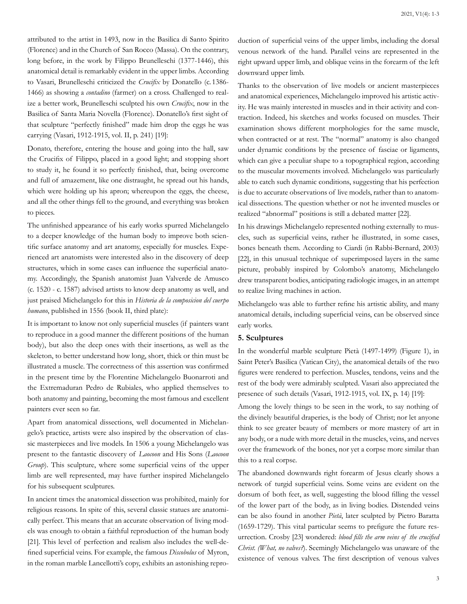attributed to the artist in 1493, now in the Basilica di Santo Spirito (Florence) and in the Church of San Rocco (Massa). On the contrary, long before, in the work by Filippo Brunelleschi (1377-1446), this anatomical detail is remarkably evident in the upper limbs. According to Vasari, Brunelleschi criticized the *Crucifix* by Donatello (c. 1386- 1466) as showing a *contadino* (farmer) on a cross. Challenged to realize a better work, Brunelleschi sculpted his own *Crucifix*, now in the Basilica of Santa Maria Novella (Florence). Donatello's first sight of that sculpture "perfectly finished" made him drop the eggs he was carrying (Vasari, 1912-1915, vol. II, p. 241) [19]:

Donato, therefore, entering the house and going into the hall, saw the Crucifix of Filippo, placed in a good light; and stopping short to study it, he found it so perfectly finished, that, being overcome and full of amazement, like one distraught, he spread out his hands, which were holding up his apron; whereupon the eggs, the cheese, and all the other things fell to the ground, and everything was broken to pieces.

The unfinished appearance of his early works spurred Michelangelo to a deeper knowledge of the human body to improve both scientific surface anatomy and art anatomy, especially for muscles. Experienced art anatomists were interested also in the discovery of deep structures, which in some cases can influence the superficial anatomy. Accordingly, the Spanish anatomist Juan Valverde de Amusco (c. 1520 - c. 1587) advised artists to know deep anatomy as well, and just praised Michelangelo for this in *Historia de la composicion del cuerpo humano*, published in 1556 (book II, third plate):

It is important to know not only superficial muscles (if painters want to reproduce in a good manner the different positions of the human body), but also the deep ones with their insertions, as well as the skeleton, to better understand how long, short, thick or thin must be illustrated a muscle. The correctness of this assertion was confirmed in the present time by the Florentine Michelangelo Buonarroti and the Extremaduran Pedro de Rubiales, who applied themselves to both anatomy and painting, becoming the most famous and excellent painters ever seen so far.

Apart from anatomical dissections, well documented in Michelangelo's practice, artists were also inspired by the observation of classic masterpieces and live models. In 1506 a young Michelangelo was present to the fantastic discovery of *Laocoon* and His Sons (*Laocoon Group*). This sculpture, where some superficial veins of the upper limb are well represented, may have further inspired Michelangelo for his subsequent sculptures.

In ancient times the anatomical dissection was prohibited, mainly for religious reasons. In spite of this, several classic statues are anatomically perfect. This means that an accurate observation of living models was enough to obtain a faithful reproduction of the human body [21]. This level of perfection and realism also includes the well-defined superficial veins. For example, the famous *Discobolus* of Myron, in the roman marble Lancellotti's copy, exhibits an astonishing reproduction of superficial veins of the upper limbs, including the dorsal venous network of the hand. Parallel veins are represented in the right upward upper limb, and oblique veins in the forearm of the left downward upper limb.

Thanks to the observation of live models or ancient masterpieces and anatomical experiences, Michelangelo improved his artistic activity. He was mainly interested in muscles and in their activity and contraction. Indeed, his sketches and works focused on muscles. Their examination shows different morphologies for the same muscle, when contracted or at rest. The "normal" anatomy is also changed under dynamic conditions by the presence of fasciae or ligaments, which can give a peculiar shape to a topographical region, according to the muscular movements involved. Michelangelo was particularly able to catch such dynamic conditions, suggesting that his perfection is due to accurate observations of live models, rather than to anatomical dissections. The question whether or not he invented muscles or realized "abnormal" positions is still a debated matter [22].

In his drawings Michelangelo represented nothing externally to muscles, such as superficial veins, rather he illustrated, in some cases, bones beneath them. According to Ciardi (in Rabbi-Bernard, 2003) [22], in this unusual technique of superimposed layers in the same picture, probably inspired by Colombo's anatomy, Michelangelo drew transparent bodies, anticipating radiologic images, in an attempt to realize living machines in action.

Michelangelo was able to further refine his artistic ability, and many anatomical details, including superficial veins, can be observed since early works.

#### **5. Sculptures**

In the wonderful marble sculpture Pietà (1497-1499) (Figure 1), in Saint Peter's Basilica (Vatican City), the anatomical details of the two figures were rendered to perfection. Muscles, tendons, veins and the rest of the body were admirably sculpted. Vasari also appreciated the presence of such details (Vasari, 1912-1915, vol. IX, p. 14) [19]:

Among the lovely things to be seen in the work, to say nothing of the divinely beautiful draperies, is the body of Christ; nor let anyone think to see greater beauty of members or more mastery of art in any body, or a nude with more detail in the muscles, veins, and nerves over the framework of the bones, nor yet a corpse more similar than this to a real corpse.

The abandoned downwards right forearm of Jesus clearly shows a network of turgid superficial veins. Some veins are evident on the dorsum of both feet, as well, suggesting the blood filling the vessel of the lower part of the body, as in living bodies. Distended veins can be also found in another *Pietà*, later sculpted by Pietro Baratta (1659-1729). This vital particular seems to prefigure the future resurrection. Crosby [23] wondered: *blood fills the arm veins of the crucified Christ. (What, no valves?*). Seemingly Michelangelo was unaware of the existence of venous valves. The first description of venous valves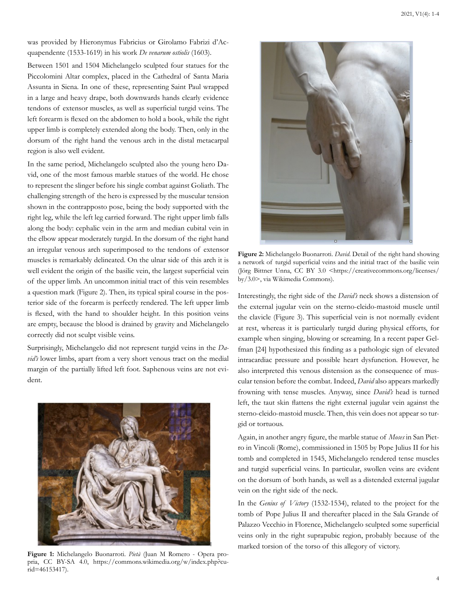was provided by Hieronymus Fabricius or Girolamo Fabrizi d'Acquapendente (1533-1619) in his work *De venarum ostiolis* (1603).

Between 1501 and 1504 Michelangelo sculpted four statues for the Piccolomini Altar complex, placed in the Cathedral of Santa Maria Assunta in Siena. In one of these, representing Saint Paul wrapped in a large and heavy drape, both downwards hands clearly evidence tendons of extensor muscles, as well as superficial turgid veins. The left forearm is flexed on the abdomen to hold a book, while the right upper limb is completely extended along the body. Then, only in the dorsum of the right hand the venous arch in the distal metacarpal region is also well evident.

In the same period, Michelangelo sculpted also the young hero David, one of the most famous marble statues of the world. He chose to represent the slinger before his single combat against Goliath. The challenging strength of the hero is expressed by the muscular tension shown in the contrapposto pose, being the body supported with the right leg, while the left leg carried forward. The right upper limb falls along the body: cephalic vein in the arm and median cubital vein in the elbow appear moderately turgid. In the dorsum of the right hand an irregular venous arch superimposed to the tendons of extensor muscles is remarkably delineated. On the ulnar side of this arch it is well evident the origin of the basilic vein, the largest superficial vein of the upper limb. An uncommon initial tract of this vein resembles a question mark (Figure 2). Then, its typical spiral course in the posterior side of the forearm is perfectly rendered. The left upper limb is flexed, with the hand to shoulder height. In this position veins are empty, because the blood is drained by gravity and Michelangelo correctly did not sculpt visible veins.

Surprisingly, Michelangelo did not represent turgid veins in the *David's* lower limbs, apart from a very short venous tract on the medial margin of the partially lifted left foot. Saphenous veins are not evident.



**Figure 1:** Michelangelo Buonarroti. *Pietà* (Juan M Romero - Opera propria, CC BY-SA 4.0, https://commons.wikimedia.org/w/index.php?curid=46153417).



**Figure 2:** Michelangelo Buonarroti. *David*. Detail of the right hand showing a network of turgid superficial veins and the initial tract of the basilic vein (Jörg Bittner Unna, CC BY 3.0 <https://creativecommons.org/licenses/ by/3.0>, via Wikimedia Commons).

Interestingly, the right side of the *David's* neck shows a distension of the external jugular vein on the sterno-cleido-mastoid muscle until the clavicle (Figure 3). This superficial vein is not normally evident at rest, whereas it is particularly turgid during physical efforts, for example when singing, blowing or screaming. In a recent paper Gelfman [24] hypothesized this finding as a pathologic sign of elevated intracardiac pressure and possible heart dysfunction. However, he also interpreted this venous distension as the consequence of muscular tension before the combat. Indeed, *David* also appears markedly frowning with tense muscles. Anyway, since *David's* head is turned left, the taut skin flattens the right external jugular vein against the sterno-cleido-mastoid muscle. Then, this vein does not appear so turgid or tortuous.

Again, in another angry figure, the marble statue of *Moses* in San Pietro in Vincoli (Rome), commissioned in 1505 by Pope Julius II for his tomb and completed in 1545, Michelangelo rendered tense muscles and turgid superficial veins. In particular, swollen veins are evident on the dorsum of both hands, as well as a distended external jugular vein on the right side of the neck.

In the *Genius of Victory* (1532-1534), related to the project for the tomb of Pope Julius II and thereafter placed in the Sala Grande of Palazzo Vecchio in Florence, Michelangelo sculpted some superficial veins only in the right suprapubic region, probably because of the marked torsion of the torso of this allegory of victory.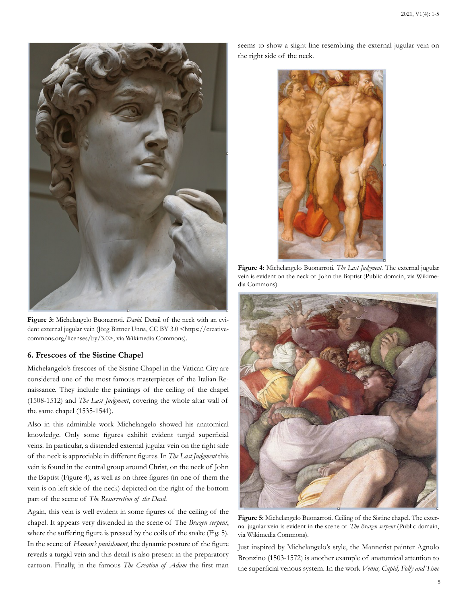

**Figure 3:** Michelangelo Buonarroti. *David*. Detail of the neck with an evident external jugular vein (Jörg Bittner Unna, CC BY 3.0 <https://creativecommons.org/licenses/by/3.0>, via Wikimedia Commons).

#### **6. Frescoes of the Sistine Chapel**

Michelangelo's frescoes of the Sistine Chapel in the Vatican City are considered one of the most famous masterpieces of the Italian Renaissance. They include the paintings of the ceiling of the chapel (1508-1512) and *The Last Judgment*, covering the whole altar wall of the same chapel (1535-1541).

Also in this admirable work Michelangelo showed his anatomical knowledge. Only some figures exhibit evident turgid superficial veins. In particular, a distended external jugular vein on the right side of the neck is appreciable in different figures. In *The Last Judgment* this vein is found in the central group around Christ, on the neck of John the Baptist (Figure 4), as well as on three figures (in one of them the vein is on left side of the neck) depicted on the right of the bottom part of the scene of *The Resurrection of the Dead*.

Again, this vein is well evident in some figures of the ceiling of the chapel. It appears very distended in the scene of The *Brazen serpent*, where the suffering figure is pressed by the coils of the snake (Fig. 5). In the scene of *Haman's punishment*, the dynamic posture of the figure reveals a turgid vein and this detail is also present in the preparatory cartoon. Finally, in the famous *The Creation of Adam* the first man

seems to show a slight line resembling the external jugular vein on the right side of the neck.



**Figure 4:** Michelangelo Buonarroti. *The Last Judgment*. The external jugular vein is evident on the neck of John the Baptist (Public domain, via Wikimedia Commons).



**Figure 5:** Michelangelo Buonarroti. Ceiling of the Sistine chapel. The external jugular vein is evident in the scene of *The Brazen serpent* (Public domain, via Wikimedia Commons).

Just inspired by Michelangelo's style, the Mannerist painter Agnolo Bronzino (1503-1572) is another example of anatomical attention to the superficial venous system. In the work *Venus, Cupid, Folly and Time*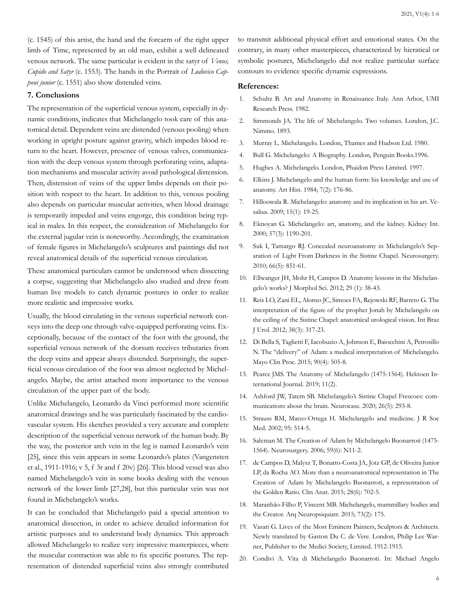(c. 1545) of this artist, the hand and the forearm of the right upper limb of Time, represented by an old man, exhibit a well delineated venous network. The same particular is evident in the satyr of *Venus, Cupido and Satyr* (c. 1553). The hands in the Portrait of *Ludovico Capponi junior* (c. 1551) also show distended veins.

## **7. Conclusions**

The representation of the superficial venous system, especially in dynamic conditions, indicates that Michelangelo took care of this anatomical detail. Dependent veins are distended (venous pooling) when working in upright posture against gravity, which impedes blood return to the heart. However, presence of venous valves, communication with the deep venous system through perforating veins, adaptation mechanisms and muscular activity avoid pathological distension. Then, distension of veins of the upper limbs depends on their position with respect to the heart. In addition to this, venous pooling also depends on particular muscular activities, when blood drainage is temporarily impeded and veins engorge, this condition being typical in males. In this respect, the consideration of Michelangelo for the external jugular vein is noteworthy. Accordingly, the examination of female figures in Michelangelo's sculptures and paintings did not reveal anatomical details of the superficial venous circulation.

These anatomical particulars cannot be understood when dissecting a corpse, suggesting that Michelangelo also studied and drew from human live models to catch dynamic postures in order to realize more realistic and impressive works.

Usually, the blood circulating in the venous superficial network conveys into the deep one through valve-equipped perforating veins. Exceptionally, because of the contact of the foot with the ground, the superficial venous network of the dorsum receives tributaries from the deep veins and appear always distended. Surprisingly, the superficial venous circulation of the foot was almost neglected by Michelangelo. Maybe, the artist attached more importance to the venous circulation of the upper part of the body.

Unlike Michelangelo, Leonardo da Vinci performed more scientific anatomical drawings and he was particularly fascinated by the cardiovascular system. His sketches provided a very accurate and complete description of the superficial venous network of the human body. By the way, the posterior arch vein in the leg is named Leonardo's vein [25], since this vein appears in some Leonardo's plates (Vangensten et al., 1911-1916; v 5, f 3r and f 20v) [26]. This blood vessel was also named Michelangelo's vein in some books dealing with the venous network of the lower limb [27,28], but this particular vein was not found in Michelangelo's works.

It can be concluded that Michelangelo paid a special attention to anatomical dissection, in order to achieve detailed information for artistic purposes and to understand body dynamics. This approach allowed Michelangelo to realize very impressive masterpieces, where the muscular contraction was able to fix specific postures. The representation of distended superficial veins also strongly contributed to transmit additional physical effort and emotional states. On the contrary, in many other masterpieces, characterized by hieratical or symbolic postures, Michelangelo did not realize particular surface contours to evidence specific dynamic expressions.

#### **References:**

- 1. [Schultz B. Art and Anatomy in Renaissance Italy. Ann Arbor, UMI](https://www.worldcat.org/title/art-and-anatomy-in-renaissance-italy/oclc/11972275)  [Research Press. 1982.](https://www.worldcat.org/title/art-and-anatomy-in-renaissance-italy/oclc/11972275)
- 2. [Simmonds JA. The life of Michelangelo. Two volumes. London, J.C.](https://www.biblio.com/the-life-of-michelangelo-by-symonds-john-addington/work/113447)  [Nimmo. 1893.](https://www.biblio.com/the-life-of-michelangelo-by-symonds-john-addington/work/113447)
- 3. [Murray L. Michelangelo. London, Thames and Hudson Ltd. 1980.](https://thamesandhudson.com/topics/michelangelo)
- 4. [Bull G. Michelangelo: A Biography. London, Penguin Books.1996.](https://books.google.co.in/books/about/Michelangelo.html?id=i8X-T7taEmAC&redir_esc=y)
- 5. Hughes A. Michelangelo. London, Phaidon Press Limited. 1997.
- 6. [Elkins J. Michelangelo and the human form: his knowledge and use of](https://pubmed.ncbi.nlm.nih.gov/11616641/) [anatomy. Art Hist. 1984; 7\(2\): 176-86.](https://pubmed.ncbi.nlm.nih.gov/11616641/)
- 7. [Hilloowala R. Michelangelo: anatomy and its implication in his art. Ve](https://pubmed.ncbi.nlm.nih.gov/20027756/)[salius. 2009; 15\(1\): 19-25.](https://pubmed.ncbi.nlm.nih.gov/20027756/)
- 8. [Eknoyan G. Michelangelo: art, anatomy, and the kidney. Kidney Int.](https://pubmed.ncbi.nlm.nih.gov/10720972/) [2000; 57\(3\): 1190-201.](https://pubmed.ncbi.nlm.nih.gov/10720972/)
- 9. [Suk I, Tamargo RJ. Concealed neuroanatomy in Michelangelo's Sep](https://pubmed.ncbi.nlm.nih.gov/20404688/)[aration of Light From Darkness in the Sistine Chapel. Neurosurgery.](https://pubmed.ncbi.nlm.nih.gov/20404688/) [2010; 66\(5\): 851-61.](https://pubmed.ncbi.nlm.nih.gov/20404688/)
- 10. [Ellwanger JH, Mohr H, Campos D. Anatomy lessons in the Michelan](http://www.jms.periodikos.com.br/article/587cb4ae7f8c9d0d058b47ef/pdf/jms-29-1-587cb4ae7f8c9d0d058b47ef.pdf)[gelo's works? J Morphol Sci. 2012; 29 \(1\): 38-43.](http://www.jms.periodikos.com.br/article/587cb4ae7f8c9d0d058b47ef/pdf/jms-29-1-587cb4ae7f8c9d0d058b47ef.pdf)
- 11. [Reis LO, Zani EL, Alonso JC, Simoes FA, Rejowski RF, Barreto G. The](http://www.scielo.br/scielo.php?script=sci_arttext&pid=S1677-55382012000300004) [interpretation of the figure of the prophet Jonah by Michelangelo on](http://www.scielo.br/scielo.php?script=sci_arttext&pid=S1677-55382012000300004)  [the ceiling of the Sistine Chapel: anatomical urological vision. Int Braz](http://www.scielo.br/scielo.php?script=sci_arttext&pid=S1677-55382012000300004)  [J Urol. 2012; 38\(3\): 317-23.](http://www.scielo.br/scielo.php?script=sci_arttext&pid=S1677-55382012000300004)
- 12. [Di Bella S, Taglietti F, Iacobuzio A, Johnson E, Baiocchini A, Petrosillo](https://pubmed.ncbi.nlm.nih.gov/25841253/) [N. The "delivery" of Adam: a medical interpretation of Michelangelo.](https://pubmed.ncbi.nlm.nih.gov/25841253/) [Mayo Clin Proc. 2015; 90\(4\): 505-8.](https://pubmed.ncbi.nlm.nih.gov/25841253/)
- 13. [Pearce JMS. The Anatomy of Michelangelo \(1475-1564\). Hektoen In](https://hekint.org/2018/04/11/anatomy-michelangelo-1475-1564/)[ternational Journal. 2019; 11\(2\).](https://hekint.org/2018/04/11/anatomy-michelangelo-1475-1564/)
- 14. [Ashford JW, Tatem SB. Michelangelo's Sistine Chapel Frescoes: com](https://pubmed.ncbi.nlm.nih.gov/32886575/)[munications about the brain. Neurocase. 2020; 26\(5\): 293-8.](https://pubmed.ncbi.nlm.nih.gov/32886575/)
- 15. [Strauss RM, Marzo-Ortega H. Michelangelo and medicine. J R Soc](https://www.ncbi.nlm.nih.gov/pmc/articles/PMC1279184/)  [Med. 2002; 95: 514-5.](https://www.ncbi.nlm.nih.gov/pmc/articles/PMC1279184/)
- 16. [Salcman M. The Creation of Adam by Michelangelo Buonarroti \(1475-](https://pubmed.ncbi.nlm.nih.gov/17277674/) [1564\). Neurosurgery. 2006; 59\(6\): N11-2.](https://pubmed.ncbi.nlm.nih.gov/17277674/)
- 17. [de Campos D, Malysz T, Bonatto-Costa JA, Jotz GP, de Oliveira Junior](https://pubmed.ncbi.nlm.nih.gov/26182895/)  [LP, da Rocha AO. More than a neuroanatomical representation in The](https://pubmed.ncbi.nlm.nih.gov/26182895/)  [Creation of Adam by Michelangelo Buonarroti, a representation of](https://pubmed.ncbi.nlm.nih.gov/26182895/)  [the Golden Ratio. Clin Anat. 2015; 28\(6\): 702-5.](https://pubmed.ncbi.nlm.nih.gov/26182895/)
- 18. [Maranhão-Filho P, Vincent MB. Michelangelo, mammillary bodies and](https://pubmed.ncbi.nlm.nih.gov/25742593/)  [the Creator. Arq Neuropsiquiatr. 2015; 73\(2\): 175.](https://pubmed.ncbi.nlm.nih.gov/25742593/)
- 19. Vasari G. Lives of the Most Eminent Painters, Sculptors & Architects. Newly translated by Gaston Du C. de Vere. London, Philip Lee Warner, Publisher to the Medici Society, Limited. 1912-1915.
- 20. Condivi A. Vita di Michelangelo Buonarroti. In: Michael Angelo